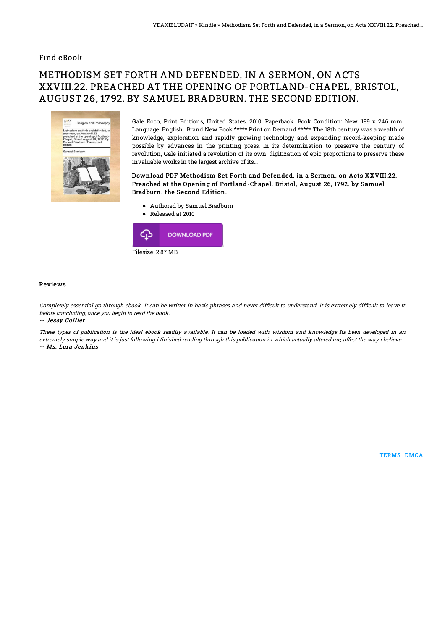### Find eBook

# METHODISM SET FORTH AND DEFENDED, IN A SERMON, ON ACTS XXVIII.22. PREACHED AT THE OPENING OF PORTLAND-CHAPEL, BRISTOL, AUGUST 26, 1792. BY SAMUEL BRADBURN. THE SECOND EDITION.



Gale Ecco, Print Editions, United States, 2010. Paperback. Book Condition: New. 189 x 246 mm. Language: English . Brand New Book \*\*\*\*\* Print on Demand \*\*\*\*\*.The 18th century was a wealth of knowledge, exploration and rapidly growing technology and expanding record-keeping made possible by advances in the printing press. In its determination to preserve the century of revolution, Gale initiated a revolution of its own: digitization of epic proportions to preserve these invaluable works in the largest archive of its...

#### Download PDF Methodism Set Forth and Defended, in a Sermon, on Acts XXVIII.22. Preached at the Opening of Portland-Chapel, Bristol, August 26, 1792. by Samuel Bradburn. the Second Edition.

- Authored by Samuel Bradburn
- Released at 2010  $\bullet$



#### Reviews

Completely essential go through ebook. It can be writter in basic phrases and never difficult to understand. It is extremely difficult to leave it before concluding, once you begin to read the book.

-- Jessy Collier

These types of publication is the ideal ebook readily available. It can be loaded with wisdom and knowledge Its been developed in an extremely simple way and it is just following i finished reading through this publication in which actually altered me, affect the way i believe. -- Ms. Lura Jenkins